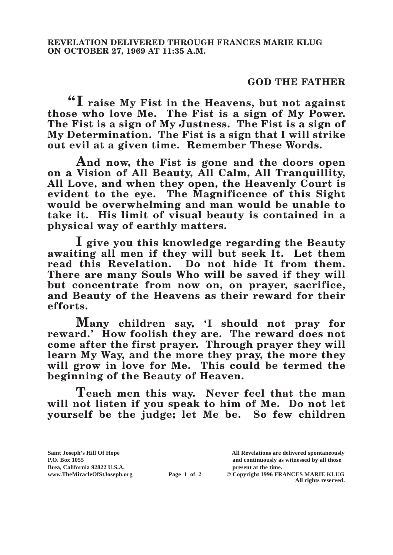## **GOD THE FATHER**

**"I raise My Fist in the Heavens, but not against those who love Me. The Fist is a sign of My Power. The Fist is a sign of My Justness. The Fist is a sign of My Determination. The Fist is a sign that I will strike out evil at a given time. Remember These Words.**

**And now, the Fist is gone and the doors open on a Vision of All Beauty, All Calm, All Tranquillity, All Love, and when they open, the Heavenly Court is evident to the eye. The Magnificence of this Sight would be overwhelming and man would be unable to take it. His limit of visual beauty is contained in a physical way of earthly matters.**

**I give you this knowledge regarding the Beauty awaiting all men if they will but seek It. Let them read this Revelation. Do not hide It from them. There are many Souls Who will be saved if they will but concentrate from now on, on prayer, sacrifice, and Beauty of the Heavens as their reward for their efforts.**

**Many children say, 'I should not pray for reward.' How foolish they are. The reward does not come after the first prayer. Through prayer they will learn My Way, and the more they pray, the more they will grow in love for Me. This could be termed the beginning of the Beauty of Heaven.** 

**Teach men this way. Never feel that the man will not listen if you speak to him of Me. Do not let yourself be the judge; let Me be. So few children** 

**Page 1 of 2** © Copyright 1996 FRANCES MARIE KLUG **All rights reserved.**